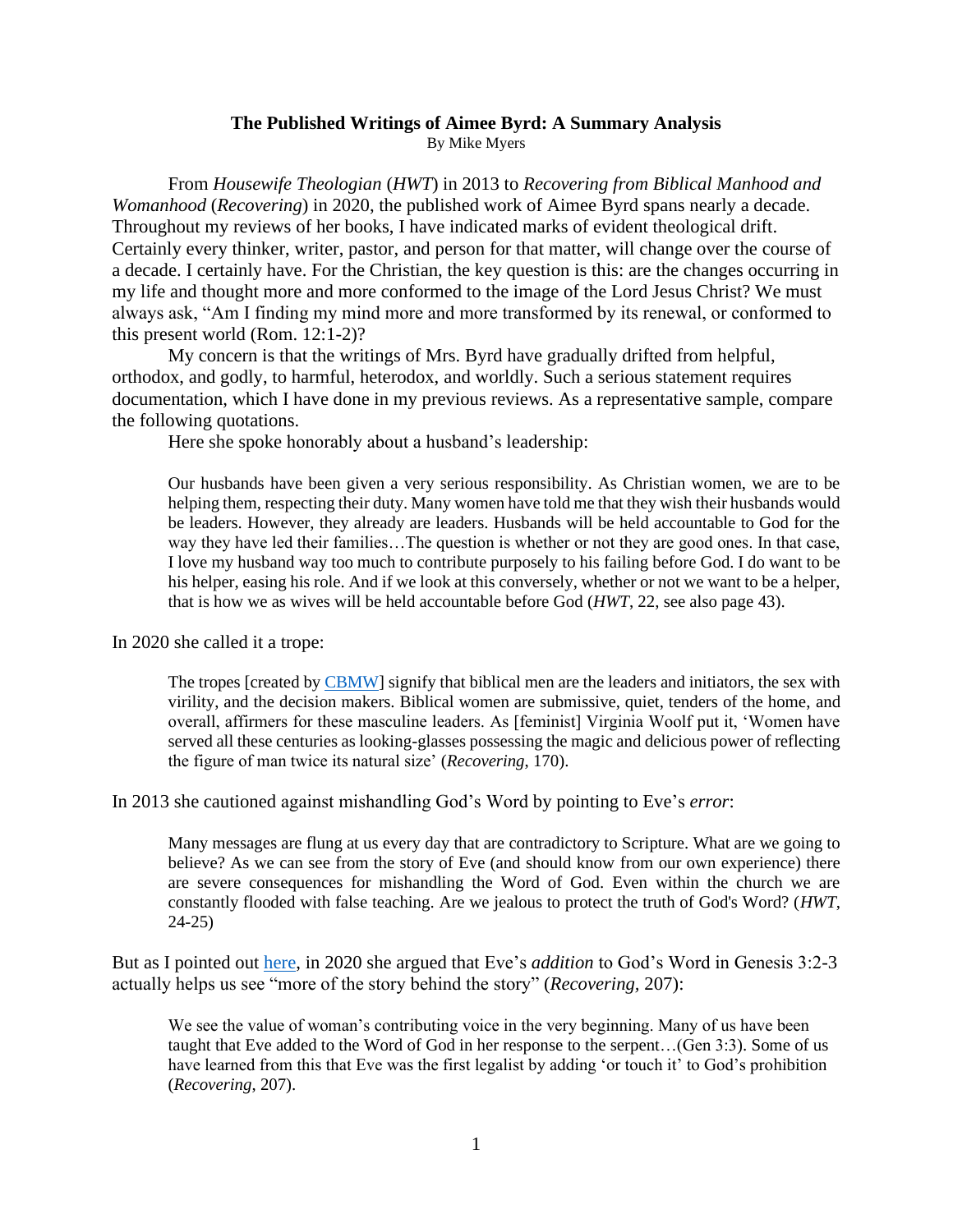#### **The Published Writings of Aimee Byrd: A Summary Analysis** By Mike Myers

From *Housewife Theologian* (*HWT*) in 2013 to *Recovering from Biblical Manhood and Womanhood* (*Recovering*) in 2020, the published work of Aimee Byrd spans nearly a decade. Throughout my reviews of her books, I have indicated marks of evident theological drift. Certainly every thinker, writer, pastor, and person for that matter, will change over the course of a decade. I certainly have. For the Christian, the key question is this: are the changes occurring in my life and thought more and more conformed to the image of the Lord Jesus Christ? We must always ask, "Am I finding my mind more and more transformed by its renewal, or conformed to this present world (Rom. 12:1-2)?

My concern is that the writings of Mrs. Byrd have gradually drifted from helpful, orthodox, and godly, to harmful, heterodox, and worldly. Such a serious statement requires documentation, which I have done in my previous reviews. As a representative sample, compare the following quotations.

Here she spoke honorably about a husband's leadership:

Our husbands have been given a very serious responsibility. As Christian women, we are to be helping them, respecting their duty. Many women have told me that they wish their husbands would be leaders. However, they already are leaders. Husbands will be held accountable to God for the way they have led their families…The question is whether or not they are good ones. In that case, I love my husband way too much to contribute purposely to his failing before God. I do want to be his helper, easing his role. And if we look at this conversely, whether or not we want to be a helper, that is how we as wives will be held accountable before God (*HWT*, 22, see also page 43).

In 2020 she called it a trope:

The tropes [created b[y CBMW\]](https://cbmw.org/) signify that biblical men are the leaders and initiators, the sex with virility, and the decision makers. Biblical women are submissive, quiet, tenders of the home, and overall, affirmers for these masculine leaders. As [feminist] Virginia Woolf put it, 'Women have served all these centuries as looking-glasses possessing the magic and delicious power of reflecting the figure of man twice its natural size' (*Recovering*, 170).

In 2013 she cautioned against mishandling God's Word by pointing to Eve's *error*:

Many messages are flung at us every day that are contradictory to Scripture. What are we going to believe? As we can see from the story of Eve (and should know from our own experience) there are severe consequences for mishandling the Word of God. Even within the church we are constantly flooded with false teaching. Are we jealous to protect the truth of God's Word? (*HWT*, 24-25)

But as I pointed out [here,](http://heritageopc.org/2021/10/19/recovering-1/) in 2020 she argued that Eve's *addition* to God's Word in Genesis 3:2-3 actually helps us see "more of the story behind the story" (*Recovering,* 207):

We see the value of woman's contributing voice in the very beginning. Many of us have been taught that Eve added to the Word of God in her response to the serpent…(Gen 3:3). Some of us have learned from this that Eve was the first legalist by adding 'or touch it' to God's prohibition (*Recovering*, 207).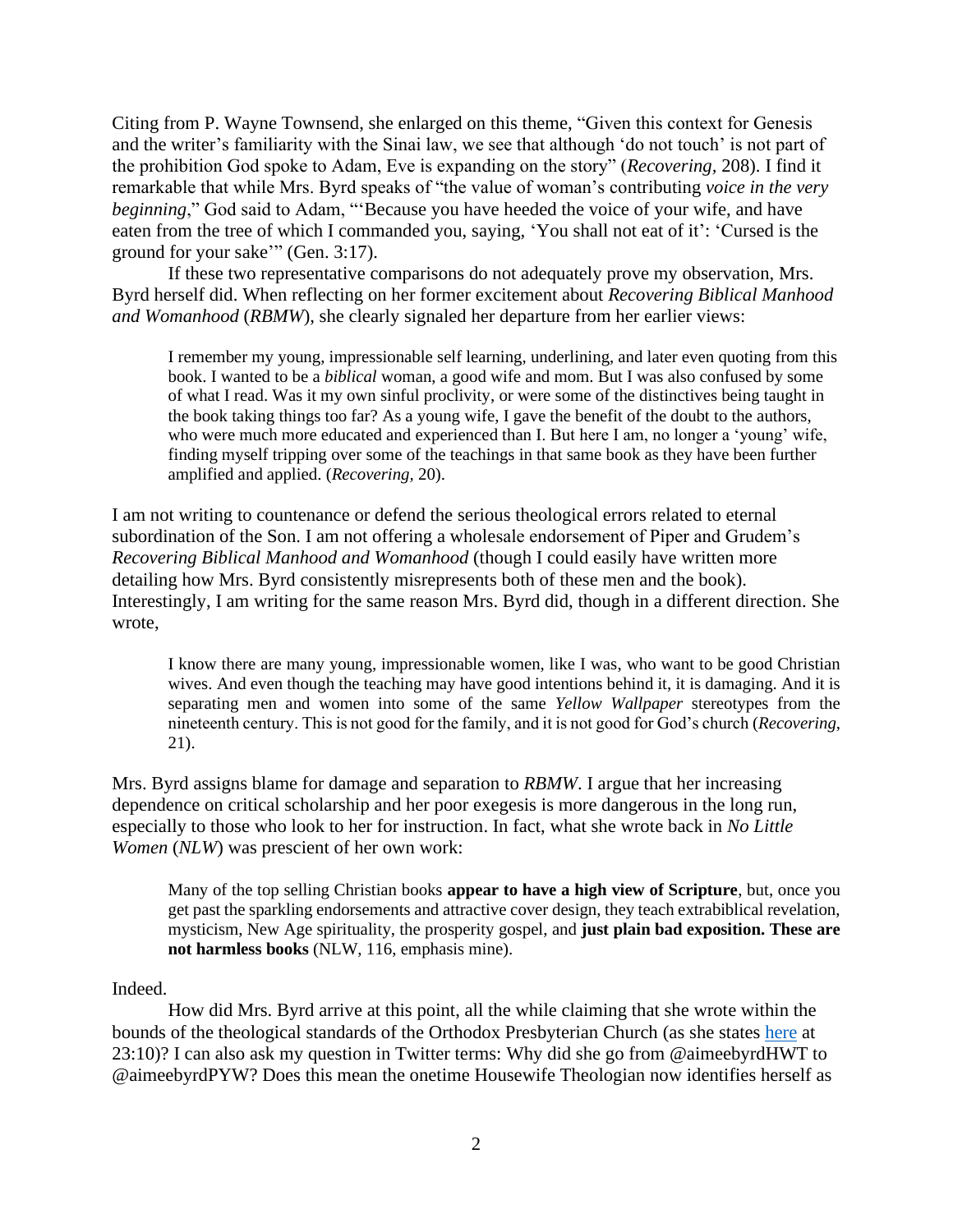Citing from P. Wayne Townsend, she enlarged on this theme, "Given this context for Genesis and the writer's familiarity with the Sinai law, we see that although 'do not touch' is not part of the prohibition God spoke to Adam, Eve is expanding on the story" (*Recovering,* 208). I find it remarkable that while Mrs. Byrd speaks of "the value of woman's contributing *voice in the very beginning*," God said to Adam, "'Because you have heeded the voice of your wife, and have eaten from the tree of which I commanded you, saying, 'You shall not eat of it': 'Cursed is the ground for your sake'" (Gen. 3:17).

If these two representative comparisons do not adequately prove my observation, Mrs. Byrd herself did. When reflecting on her former excitement about *Recovering Biblical Manhood and Womanhood* (*RBMW*), she clearly signaled her departure from her earlier views:

I remember my young, impressionable self learning, underlining, and later even quoting from this book. I wanted to be a *biblical* woman, a good wife and mom. But I was also confused by some of what I read. Was it my own sinful proclivity, or were some of the distinctives being taught in the book taking things too far? As a young wife, I gave the benefit of the doubt to the authors, who were much more educated and experienced than I. But here I am, no longer a 'young' wife, finding myself tripping over some of the teachings in that same book as they have been further amplified and applied. (*Recovering,* 20).

I am not writing to countenance or defend the serious theological errors related to eternal subordination of the Son. I am not offering a wholesale endorsement of Piper and Grudem's *Recovering Biblical Manhood and Womanhood* (though I could easily have written more detailing how Mrs. Byrd consistently misrepresents both of these men and the book). Interestingly, I am writing for the same reason Mrs. Byrd did, though in a different direction. She wrote,

I know there are many young, impressionable women, like I was, who want to be good Christian wives. And even though the teaching may have good intentions behind it, it is damaging. And it is separating men and women into some of the same *Yellow Wallpaper* stereotypes from the nineteenth century. This is not good for the family, and it is not good for God's church (*Recovering*, 21).

Mrs. Byrd assigns blame for damage and separation to *RBMW*. I argue that her increasing dependence on critical scholarship and her poor exegesis is more dangerous in the long run, especially to those who look to her for instruction. In fact, what she wrote back in *No Little Women* (*NLW*) was prescient of her own work:

Many of the top selling Christian books **appear to have a high view of Scripture**, but, once you get past the sparkling endorsements and attractive cover design, they teach extrabiblical revelation, mysticism, New Age spirituality, the prosperity gospel, and **just plain bad exposition. These are not harmless books** (NLW, 116, emphasis mine).

## Indeed.

How did Mrs. Byrd arrive at this point, all the while claiming that she wrote within the bounds of the theological standards of the Orthodox Presbyterian Church (as she states [here](https://www.reformation21.org/blog/recovering-from-biblical-manhood-and-womanhood-the-trial) at 23:10)? I can also ask my question in Twitter terms: Why did she go from @aimeebyrdHWT to @aimeebyrdPYW? Does this mean the onetime Housewife Theologian now identifies herself as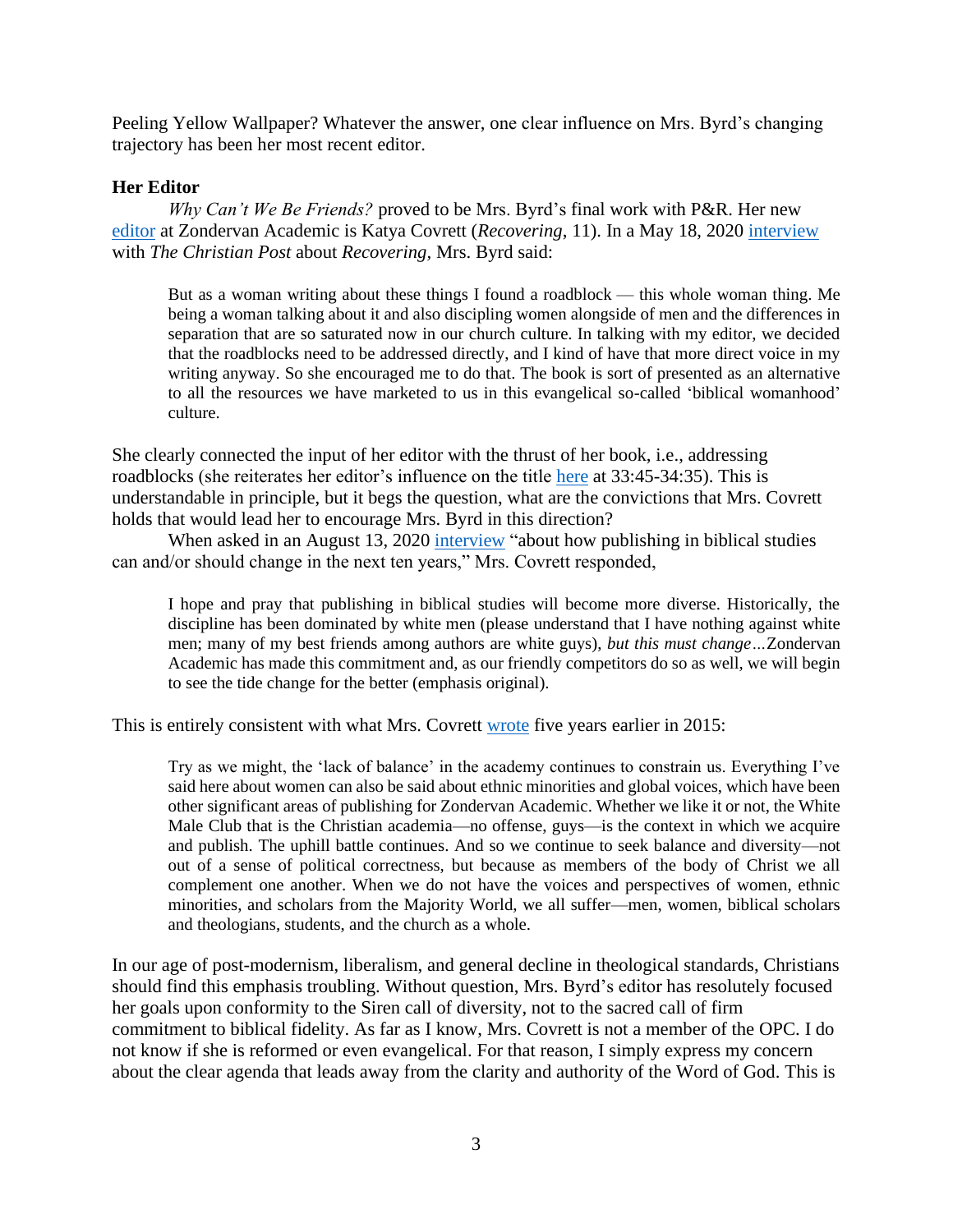Peeling Yellow Wallpaper? Whatever the answer, one clear influence on Mrs. Byrd's changing trajectory has been her most recent editor.

# **Her Editor**

*Why Can't We Be Friends?* proved to be Mrs. Byrd's final work with P&R. Her new [editor](https://twitter.com/aimeebyrdPYW/status/1430251997299625984) at Zondervan Academic is Katya Covrett (*Recovering*, 11). In a May 18, 2020 [interview](https://www-christianpost-com.cdn.ampproject.org/v/s/www.christianpost.com/amp/why-the-church-needs-more-focus-on-discipleship-than-biblical-manhood-and-womanhood-author.html?amp_gsa=1&_js_v=a6&usqp=mq331AQKKAFQArABIIACAw%3D%3D#amp_tf=From%20%251%24s&aoh=16359698915721&referrer=https%3A%2F%2Fwww.google.com&share=https%3A%2F%2Fwww.christianpost.com%2Fnews%2Fwhy-the-church-needs-more-focus-on-discipleship-than-biblical-manhood-and-womanhood-author.html) with *The Christian Post* about *Recovering,* Mrs. Byrd said:

But as a woman writing about these things I found a roadblock — this whole woman thing. Me being a woman talking about it and also discipling women alongside of men and the differences in separation that are so saturated now in our church culture. In talking with my editor, we decided that the roadblocks need to be addressed directly, and I kind of have that more direct voice in my writing anyway. So she encouraged me to do that. The book is sort of presented as an alternative to all the resources we have marketed to us in this evangelical so-called 'biblical womanhood' culture.

She clearly connected the input of her editor with the thrust of her book, i.e., addressing roadblocks (she reiterates her editor's influence on the title [here](https://www.reformation21.org/blog/recovering-from-biblical-manhood-and-womanhood-the-trial) at 33:45-34:35). This is understandable in principle, but it begs the question, what are the convictions that Mrs. Covrett holds that would lead her to encourage Mrs. Byrd in this direction?

When asked in an August 13, 2020 [interview](https://www.patheos.com/blogs/cruxsola/2020/08/katya-covrett-zondervan-academic-the-editors-behind-the-great-books-in-new-testament-studies/) "about how publishing in biblical studies can and/or should change in the next ten years," Mrs. Covrett responded,

I hope and pray that publishing in biblical studies will become more diverse. Historically, the discipline has been dominated by white men (please understand that I have nothing against white men; many of my best friends among authors are white guys), *but this must change…*Zondervan Academic has made this commitment and, as our friendly competitors do so as well, we will begin to see the tide change for the better (emphasis original).

This is entirely consistent with what Mrs. Covrett [wrote](https://womenbiblicalscholars.com/2016/05/19/what-i-learned-about-gender-and-diversity-from-christian-academic-publishing/) five years earlier in 2015:

Try as we might, the 'lack of balance' in the academy continues to constrain us. Everything I've said here about women can also be said about ethnic minorities and global voices, which have been other significant areas of publishing for Zondervan Academic. Whether we like it or not, the White Male Club that is the Christian academia—no offense, guys—is the context in which we acquire and publish. The uphill battle continues. And so we continue to seek balance and diversity—not out of a sense of political correctness, but because as members of the body of Christ we all complement one another. When we do not have the voices and perspectives of women, ethnic minorities, and scholars from the Majority World, we all suffer—men, women, biblical scholars and theologians, students, and the church as a whole.

In our age of post-modernism, liberalism, and general decline in theological standards, Christians should find this emphasis troubling. Without question, Mrs. Byrd's editor has resolutely focused her goals upon conformity to the Siren call of diversity, not to the sacred call of firm commitment to biblical fidelity. As far as I know, Mrs. Covrett is not a member of the OPC. I do not know if she is reformed or even evangelical. For that reason, I simply express my concern about the clear agenda that leads away from the clarity and authority of the Word of God. This is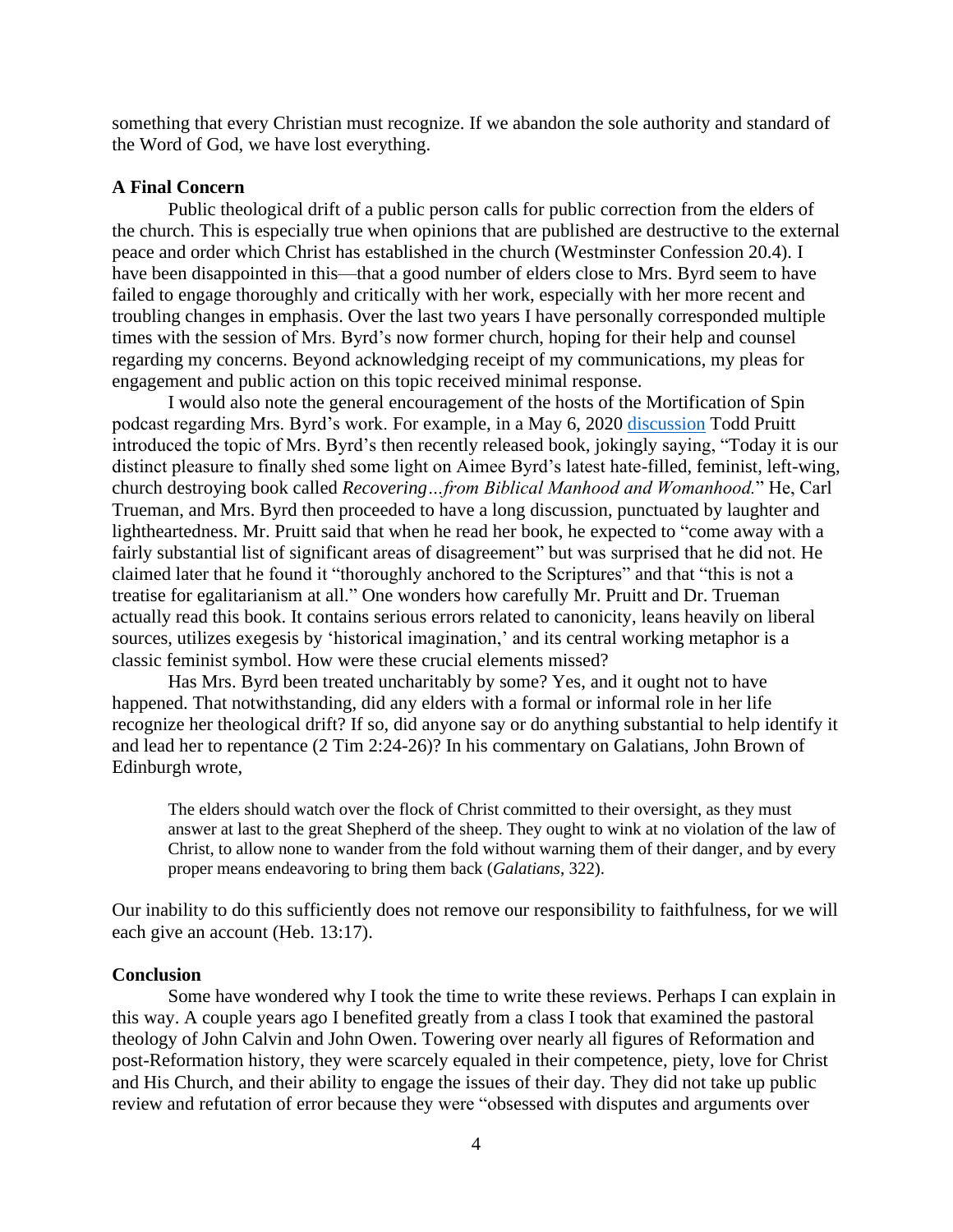something that every Christian must recognize. If we abandon the sole authority and standard of the Word of God, we have lost everything.

## **A Final Concern**

Public theological drift of a public person calls for public correction from the elders of the church. This is especially true when opinions that are published are destructive to the external peace and order which Christ has established in the church (Westminster Confession 20.4). I have been disappointed in this—that a good number of elders close to Mrs. Byrd seem to have failed to engage thoroughly and critically with her work, especially with her more recent and troubling changes in emphasis. Over the last two years I have personally corresponded multiple times with the session of Mrs. Byrd's now former church, hoping for their help and counsel regarding my concerns. Beyond acknowledging receipt of my communications, my pleas for engagement and public action on this topic received minimal response.

I would also note the general encouragement of the hosts of the Mortification of Spin podcast regarding Mrs. Byrd's work. For example, in a May 6, 2020 [discussion](https://www.reformation21.org/blog/recovering-from-biblical-manhood-and-womanhood-the-trial) Todd Pruitt introduced the topic of Mrs. Byrd's then recently released book, jokingly saying, "Today it is our distinct pleasure to finally shed some light on Aimee Byrd's latest hate-filled, feminist, left-wing, church destroying book called *Recovering…from Biblical Manhood and Womanhood.*" He, Carl Trueman, and Mrs. Byrd then proceeded to have a long discussion, punctuated by laughter and lightheartedness. Mr. Pruitt said that when he read her book, he expected to "come away with a fairly substantial list of significant areas of disagreement" but was surprised that he did not. He claimed later that he found it "thoroughly anchored to the Scriptures" and that "this is not a treatise for egalitarianism at all." One wonders how carefully Mr. Pruitt and Dr. Trueman actually read this book. It contains serious errors related to canonicity, leans heavily on liberal sources, utilizes exegesis by 'historical imagination,' and its central working metaphor is a classic feminist symbol. How were these crucial elements missed?

Has Mrs. Byrd been treated uncharitably by some? Yes, and it ought not to have happened. That notwithstanding, did any elders with a formal or informal role in her life recognize her theological drift? If so, did anyone say or do anything substantial to help identify it and lead her to repentance (2 Tim 2:24-26)? In his commentary on Galatians, John Brown of Edinburgh wrote,

The elders should watch over the flock of Christ committed to their oversight, as they must answer at last to the great Shepherd of the sheep. They ought to wink at no violation of the law of Christ, to allow none to wander from the fold without warning them of their danger, and by every proper means endeavoring to bring them back (*Galatians*, 322).

Our inability to do this sufficiently does not remove our responsibility to faithfulness, for we will each give an account (Heb. 13:17).

### **Conclusion**

Some have wondered why I took the time to write these reviews. Perhaps I can explain in this way. A couple years ago I benefited greatly from a class I took that examined the pastoral theology of John Calvin and John Owen. Towering over nearly all figures of Reformation and post-Reformation history, they were scarcely equaled in their competence, piety, love for Christ and His Church, and their ability to engage the issues of their day. They did not take up public review and refutation of error because they were "obsessed with disputes and arguments over